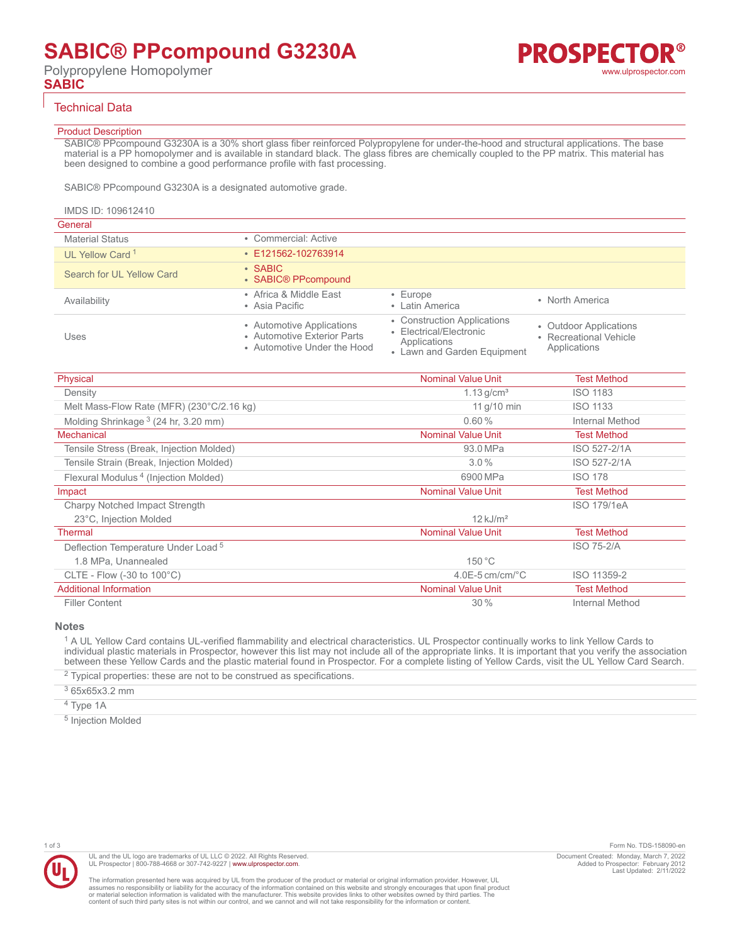## Technical Data

#### Product Description

SABIC® PPcompound G3230A is a 30% short glass fiber reinforced Polypropylene for under-the-hood and structural applications. The base material is a PP homopolymer and is available in standard black. The glass fibres are chemically coupled to the PP matrix. This material has been designed to combine a good performance profile with fast processing.

SABIC® PPcompound G3230A is a designated automotive grade.

| General                     |                                                                                         |                                                                                                       |                                                                  |
|-----------------------------|-----------------------------------------------------------------------------------------|-------------------------------------------------------------------------------------------------------|------------------------------------------------------------------|
| <b>Material Status</b>      | • Commercial: Active                                                                    |                                                                                                       |                                                                  |
| UL Yellow Card <sup>1</sup> | $\cdot$ E121562-102763914                                                               |                                                                                                       |                                                                  |
| Search for UL Yellow Card   | $\cdot$ SABIC<br>• SABIC® PPcompound                                                    |                                                                                                       |                                                                  |
| Availability                | • Africa & Middle East<br>• Asia Pacific                                                | $\cdot$ Europe<br>• Latin America                                                                     | • North America                                                  |
| Uses                        | • Automotive Applications<br>• Automotive Exterior Parts<br>• Automotive Under the Hood | • Construction Applications<br>• Electrical/Electronic<br>Applications<br>• Lawn and Garden Equipment | • Outdoor Applications<br>• Recreational Vehicle<br>Applications |

| Physical                                              | <b>Nominal Value Unit</b>      | <b>Test Method</b> |
|-------------------------------------------------------|--------------------------------|--------------------|
| Density                                               | $1.13$ g/cm <sup>3</sup>       | <b>ISO 1183</b>    |
| Melt Mass-Flow Rate (MFR) (230°C/2.16 kg)             | 11 g/10 min                    | <b>ISO 1133</b>    |
| Molding Shrinkage $3(24 \text{ hr}, 3.20 \text{ mm})$ | 0.60%                          | Internal Method    |
| Mechanical                                            | <b>Nominal Value Unit</b>      | <b>Test Method</b> |
| Tensile Stress (Break, Injection Molded)              | 93.0 MPa                       | ISO 527-2/1A       |
| Tensile Strain (Break, Injection Molded)              | $3.0\%$                        | ISO 527-2/1A       |
| Flexural Modulus <sup>4</sup> (Injection Molded)      | 6900 MPa                       | <b>ISO 178</b>     |
| Impact                                                | <b>Nominal Value Unit</b>      | <b>Test Method</b> |
| Charpy Notched Impact Strength                        |                                | <b>ISO 179/1eA</b> |
| 23°C, Injection Molded                                | $12$ kJ/m <sup>2</sup>         |                    |
| Thermal                                               | <b>Nominal Value Unit</b>      | <b>Test Method</b> |
| Deflection Temperature Under Load <sup>5</sup>        |                                | <b>ISO 75-2/A</b>  |
| 1.8 MPa, Unannealed                                   | 150 °C                         |                    |
| CLTE - Flow (-30 to $100^{\circ}$ C)                  | $4.0E - 5$ cm/cm/ $^{\circ}$ C | ISO 11359-2        |
| <b>Additional Information</b>                         | <b>Nominal Value Unit</b>      | <b>Test Method</b> |
| <b>Filler Content</b>                                 | 30%                            | Internal Method    |

#### **Notes**

<sup>1</sup> A UL Yellow Card contains UL-verified flammability and electrical characteristics. UL Prospector continually works to link Yellow Cards to individual plastic materials in Prospector, however this list may not include all of the appropriate links. It is important that you verify the association between these Yellow Cards and the plastic material found in Prospector. For a complete listing of Yellow Cards, visit the UL Yellow Card Search.

 $2$  Typical properties: these are not to be construed as specifications.

3 65x65x3.2 mm

<sup>4</sup> Type 1A

<sup>5</sup> Injection Molded



The information presented here was acquired by UL from the producer of the product or material or original information provider. However, UL<br>assumes no responsibility or liability for the accuracy of the information contai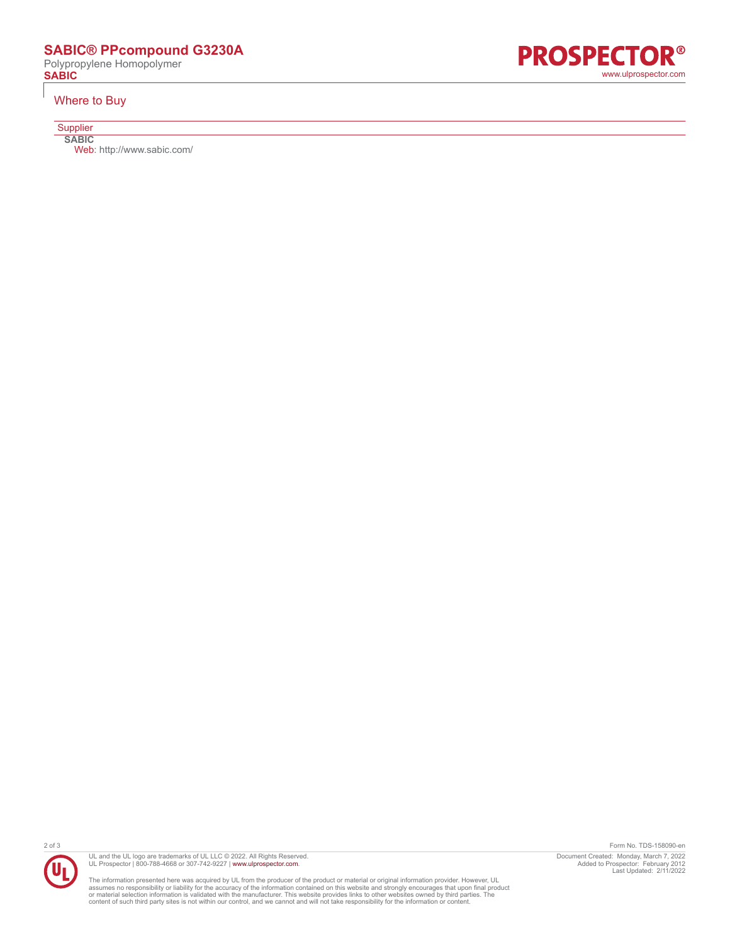# **SABIC® PPcompound G3230A**

Polypropylene Homopolymer

### Where to Buy

**Supplier** 

**SABIC** Web:<http://www.sabic.com/>







The information presented here was acquired by UL from the producer of the product or material or original information provider. However, UL<br>assumes no responsibility or liability for the accuracy of the information contai

2 of 3 Form No. TDS-158090-en Document Created: Monday, March 7, 2022 Added to Prospector: February 2012 Last Updated: 2/11/2022